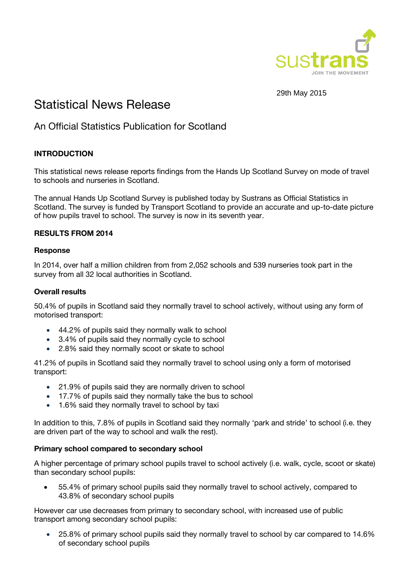

29th May 2015

# Statistical News Release

# An Official Statistics Publication for Scotland

# **INTRODUCTION**

This statistical news release reports findings from the Hands Up Scotland Survey on mode of travel to schools and nurseries in Scotland.

The annual Hands Up Scotland Survey is published today by Sustrans as Official Statistics in Scotland. The survey is funded by Transport Scotland to provide an accurate and up-to-date picture of how pupils travel to school. The survey is now in its seventh year.

## **RESULTS FROM 2014**

#### **Response**

In 2014, over half a million children from from 2,052 schools and 539 nurseries took part in the survey from all 32 local authorities in Scotland.

#### **Overall results**

50.4% of pupils in Scotland said they normally travel to school actively, without using any form of motorised transport:

- 44.2% of pupils said they normally walk to school
- 3.4% of pupils said they normally cycle to school
- 2.8% said they normally scoot or skate to school

41.2% of pupils in Scotland said they normally travel to school using only a form of motorised transport:

- 21.9% of pupils said they are normally driven to school
- 17.7% of pupils said they normally take the bus to school
- 1.6% said they normally travel to school by taxi

In addition to this, 7.8% of pupils in Scotland said they normally 'park and stride' to school (i.e. they are driven part of the way to school and walk the rest).

# **Primary school compared to secondary school**

A higher percentage of primary school pupils travel to school actively (i.e. walk, cycle, scoot or skate) than secondary school pupils:

 55.4% of primary school pupils said they normally travel to school actively, compared to 43.8% of secondary school pupils

However car use decreases from primary to secondary school, with increased use of public transport among secondary school pupils:

 25.8% of primary school pupils said they normally travel to school by car compared to 14.6% of secondary school pupils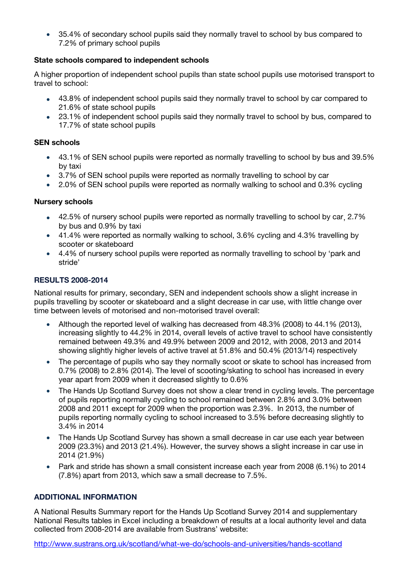• 35.4% of secondary school pupils said they normally travel to school by bus compared to 7.2% of primary school pupils

## **State schools compared to independent schools**

A higher proportion of independent school pupils than state school pupils use motorised transport to travel to school:

- 43.8% of independent school pupils said they normally travel to school by car compared to 21.6% of state school pupils
- 23.1% of independent school pupils said they normally travel to school by bus, compared to 17.7% of state school pupils

#### **SEN schools**

- 43.1% of SEN school pupils were reported as normally travelling to school by bus and 39.5% by taxi
- 3.7% of SEN school pupils were reported as normally travelling to school by car
- 2.0% of SEN school pupils were reported as normally walking to school and 0.3% cycling

#### **Nursery schools**

- 42.5% of nursery school pupils were reported as normally travelling to school by car, 2.7% by bus and 0.9% by taxi
- 41.4% were reported as normally walking to school, 3.6% cycling and 4.3% travelling by scooter or skateboard
- 4.4% of nursery school pupils were reported as normally travelling to school by 'park and stride'

#### **RESULTS 2008-2014**

National results for primary, secondary, SEN and independent schools show a slight increase in pupils travelling by scooter or skateboard and a slight decrease in car use, with little change over time between levels of motorised and non-motorised travel overall:

- Although the reported level of walking has decreased from 48.3% (2008) to 44.1% (2013), increasing slightly to 44.2% in 2014, overall levels of active travel to school have consistently remained between 49.3% and 49.9% between 2009 and 2012, with 2008, 2013 and 2014 showing slightly higher levels of active travel at 51.8% and 50.4% (2013/14) respectively
- The percentage of pupils who say they normally scoot or skate to school has increased from 0.7% (2008) to 2.8% (2014). The level of scooting/skating to school has increased in every year apart from 2009 when it decreased slightly to 0.6%
- The Hands Up Scotland Survey does not show a clear trend in cycling levels. The percentage of pupils reporting normally cycling to school remained between 2.8% and 3.0% between 2008 and 2011 except for 2009 when the proportion was 2.3%. In 2013, the number of pupils reporting normally cycling to school increased to 3.5% before decreasing slightly to 3.4% in 2014
- The Hands Up Scotland Survey has shown a small decrease in car use each year between 2009 (23.3%) and 2013 (21.4%). However, the survey shows a slight increase in car use in 2014 (21.9%)
- Park and stride has shown a small consistent increase each year from 2008 (6.1%) to 2014 (7.8%) apart from 2013, which saw a small decrease to 7.5%.

#### **ADDITIONAL INFORMATION**

A National Results Summary report for the Hands Up Scotland Survey 2014 and supplementary National Results tables in Excel including a breakdown of results at a local authority level and data collected from 2008-2014 are available from Sustrans' website:

<http://www.sustrans.org.uk/scotland/what-we-do/schools-and-universities/hands-scotland>